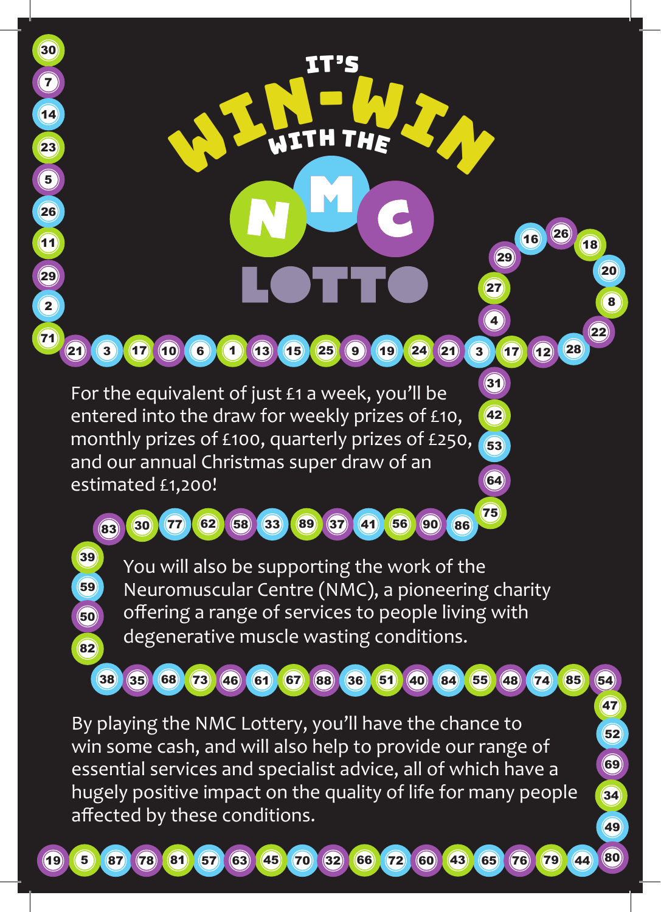

By playing the NMC Lottery, you'll have the chance to win some cash, and will also help to provide our range of essential services and specialist advice, all of which have a hugely positive impact on the quality of life for many people affected by these conditions.

(35) 68 73 46 61 67 88 36 51 40 84 55 48 74 85 54

47  $(52)$ 

69

34

49



38